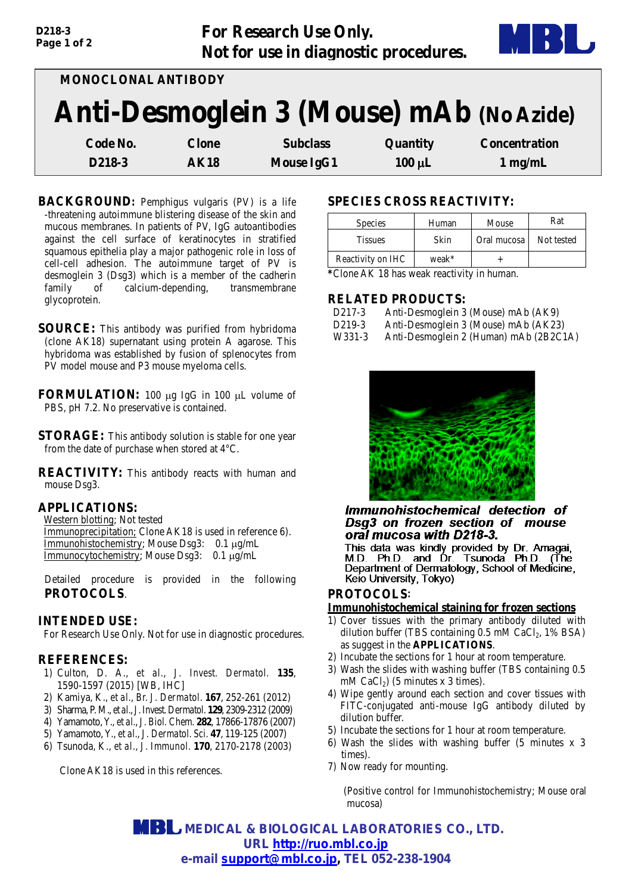

| <b>MONOCLONAL ANTIBODY</b>               |              |                   |             |                      |  |  |
|------------------------------------------|--------------|-------------------|-------------|----------------------|--|--|
| Anti-Desmoglein 3 (Mouse) mAb (No Azide) |              |                   |             |                      |  |  |
| Code No.                                 | <b>Clone</b> | <b>Subclass</b>   | Quantity    | <b>Concentration</b> |  |  |
| D218-3                                   | AK18         | <b>Mouse IgG1</b> | $100 \mu L$ | $1 \text{ mg/mL}$    |  |  |

- **BACKGROUND:** Pemphigus vulgaris (PV) is a life -threatening autoimmune blistering disease of the skin and mucous membranes. In patients of PV, IgG autoantibodies against the cell surface of keratinocytes in stratified squamous epithelia play a major pathogenic role in loss of cell-cell adhesion. The autoimmune target of PV is desmoglein 3 (Dsg3) which is a member of the cadherin family of calcium-depending, transmembrane glycoprotein.
- **SOURCE:** This antibody was purified from hybridoma (clone AK18) supernatant using protein A agarose. This hybridoma was established by fusion of splenocytes from PV model mouse and P3 mouse myeloma cells.
- **FORMULATION:** 100 µg IgG in 100 µL volume of PBS, pH 7.2. No preservative is contained.
- **STORAGE:** This antibody solution is stable for one year from the date of purchase when stored at 4°C.
- **REACTIVITY:** This antibody reacts with human and mouse Dsg3.

## **APPLICATIONS:**

*D218-3 Page 1 of 2*

Western blotting; Not tested

Immunoprecipitation; Clone AK18 is used in reference 6). Immunohistochemistry; Mouse Dsg3: 0.1 µg/mL Immunocytochemistry; Mouse Dsg3: 0.1 µg/mL

Detailed procedure is provided in the following **PROTOCOLS**.

## **INTENDED USE:**

For Research Use Only. Not for use in diagnostic procedures.

## **REFERENCES:**

- 1) Culton, D. A., *et al.*, *J. Invest. Dermatol.* **135**, 1590-1597 (2015) [WB, IHC]
- 2) Kamiya, K., *et al.*, *Br. J. Dermatol.* **167**, 252-261 (2012)
- 3) Sharma, P. M., *et al.*, *J. Invest.Dermatol.* **129**, 2309-2312 (2009)
- 4) Yamamoto, Y., *et al.*, *J. Biol. Chem.* **282**, 17866-17876 (2007)
- 5) Yamamoto, Y., *et al.*, *J. Dermatol. Sci.* **47**, 119-125 (2007)
- 6) Tsunoda, K., *et al.*, *J. Immunol.* **170**, 2170-2178 (2003)

Clone AK18 is used in this references.

## **SPECIES CROSS REACTIVITY:**

| <b>Species</b>    | Human | Mouse       | Rat        |
|-------------------|-------|-------------|------------|
| <b>Tissues</b>    | Skin  | Oral mucosa | Not tested |
| Reactivity on IHC | weak* |             |            |

**\***Clone AK 18 has weak reactivity in human.

#### **RELATED PRODUCTS:**

| D <sub>2</sub> 17-3    | Anti-Desmoglein 3 (Mouse) mAb (AK9)  |
|------------------------|--------------------------------------|
| D <sub>2</sub> 19-3    | Anti-Desmoglein 3 (Mouse) mAb (AK23) |
| $\mathbf{u}\mathbf{v}$ |                                      |

W331-3 Anti-Desmoglein 2 (Human) mAb (2B2C1A)



#### Immunohistochemical detection of Dsg3 on frozen section of mouse oral mucosa with D218-3.

This data was kindly provided by Dr. Amagai,<br>M.D. Ph.D. and Dr. Tsunoda Ph.D. (The<br>Department of Dermatology, School of Medicine, Keio University, Tokyo)

# **PROTOCOLS**:

#### **Immunohistochemical staining for frozen sections**

- 1) Cover tissues with the primary antibody diluted with dilution buffer (TBS containing  $0.5$  mM CaCl<sub>2</sub>, 1% BSA) as suggest in the **APPLICATIONS**.
- 2) Incubate the sections for 1 hour at room temperature.
- 3) Wash the slides with washing buffer (TBS containing 0.5 mM CaCl<sub>2</sub>) (5 minutes x 3 times).
- 4) Wipe gently around each section and cover tissues with FITC-conjugated anti-mouse IgG antibody diluted by dilution buffer.
- 5) Incubate the sections for 1 hour at room temperature.
- 6) Wash the slides with washing buffer (5 minutes x 3 times).
- 7) Now ready for mounting.

(Positive control for Immunohistochemistry; Mouse oral mucosa)

 **MEDICAL & BIOLOGICAL LABORATORIES CO., LTD. URL [http://ruo.mbl.co.jp](http://ruo.mbl.co.jp/) e-mail [support@mbl.co.jp,](mailto:support@mbl.co.jp) TEL 052-238-1904**